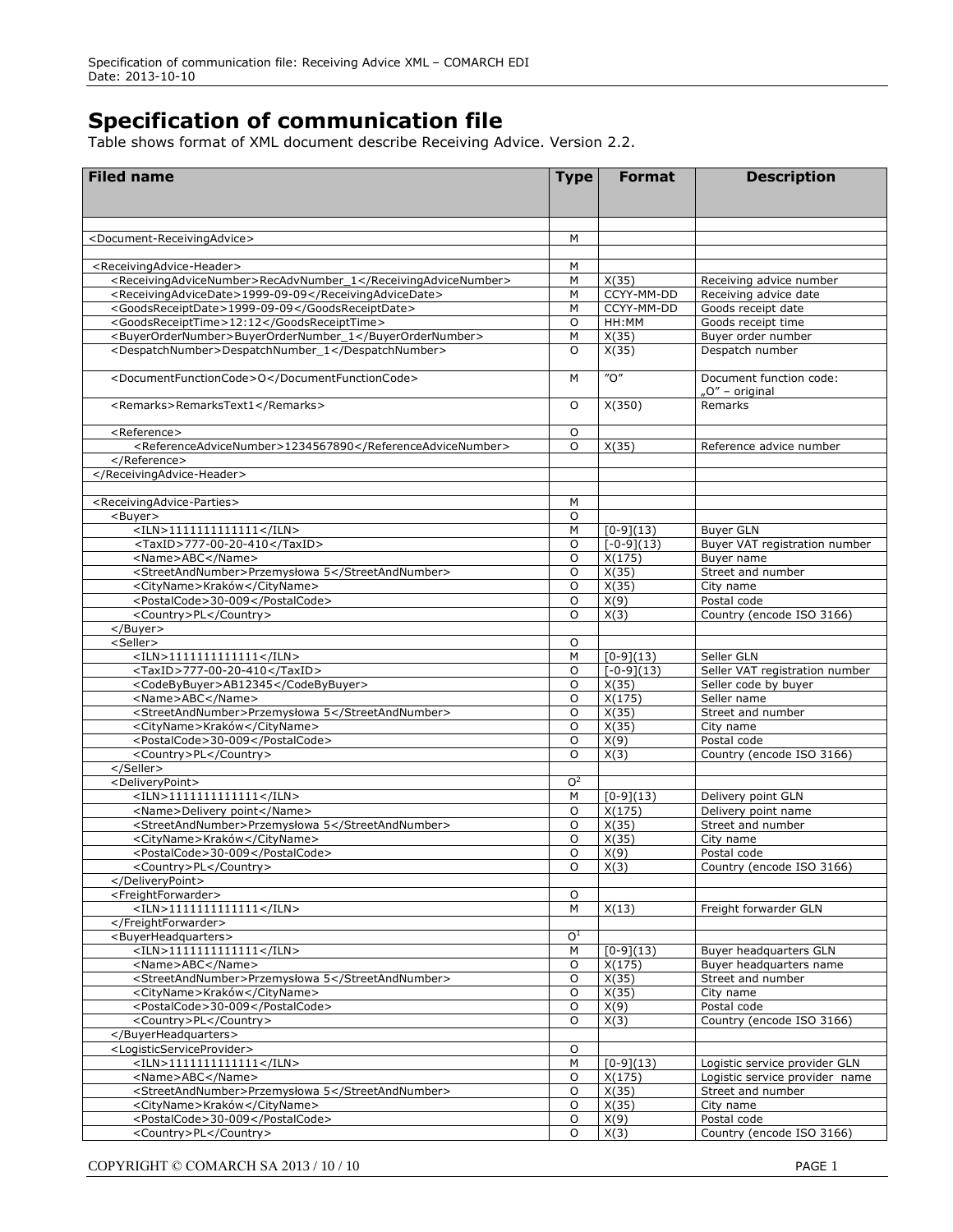## **Specification of communication file**

Table shows format of XML document describe Receiving Advice. Version 2.2.

| <document-receivingadvice><br/>M<br/><receivingadvice-header><br/>м<br/><receivingadvicenumber>RecAdvNumber_1</receivingadvicenumber><br/>M<br/>X(35)<br/>Receiving advice number<br/>CCYY-MM-DD<br/><receivingadvicedate>1999-09-09</receivingadvicedate><br/>M<br/>Receiving advice date<br/>CCYY-MM-DD<br/><goodsreceiptdate>1999-09-09</goodsreceiptdate><br/>M<br/>Goods receipt date<br/><goodsreceipttime>12:12</goodsreceipttime><br/>O<br/>HH:MM<br/>Goods receipt time<br/><buyerordernumber>BuyerOrderNumber 1</buyerordernumber><br/>M<br/>X(35)<br/>Buyer order number<br/><despatchnumber>DespatchNumber_1</despatchnumber><br/><math>\circ</math><br/>X(35)<br/>Despatch number<br/><math>^{\prime\prime}</math>O<math>^{\prime\prime}</math><br/><documentfunctioncode>O</documentfunctioncode><br/>Document function code:<br/>M<br/>"O" - original<br/><remarks>RemarksText1</remarks><br/>X(350)<br/>Remarks<br/>O<br/><reference><br/>0<br/><referenceadvicenumber>1234567890</referenceadvicenumber><br/>O<br/>X(35)<br/>Reference advice number<br/></reference><br/></receivingadvice-header><br/><receivingadvice-parties><br/>M<br/><math>\circ</math><br/><buyer><br/><math>&lt;</math>ILN&gt;1111111111111<br/>M<br/><math>[0-9](13)</math><br/><b>Buyer GLN</b><br/>Buyer VAT registration number<br/><taxid>777-00-20-410</taxid><br/><math>\circ</math><br/><math>[-0-9](13)</math><br/><name>ABC</name><br/><math>\circ</math><br/>X(175)<br/>Buyer name<br/><streetandnumber>Przemysłowa 5</streetandnumber><br/><math>\circ</math><br/>X(35)<br/>Street and number<br/>X(35)<br/><cityname>Kraków</cityname><br/><math>\circ</math><br/>City name<br/><postalcode>30-009</postalcode><br/><math>\circ</math><br/>X(9)<br/>Postal code<br/>X(3)<br/><country>PL</country><br/>O<br/>Country (encode ISO 3166)<br/></buyer><br/><seller><br/>O<br/><math>&lt;</math>ILN&gt;1111111111111<br/>M<br/><math>[0-9](13)</math><br/>Seller GLN<br/>Seller VAT registration number<br/><taxid>777-00-20-410</taxid><br/>O<br/><math>[-0-9](13)</math><br/><codebybuyer>AB12345</codebybuyer><br/>O<br/>X(35)<br/>Seller code by buyer<br/>X(175)<br/><name>ABC</name><br/>O<br/>Seller name<br/><streetandnumber>Przemysłowa 5</streetandnumber><br/>O<br/>X(35)<br/>Street and number<br/>X(35)<br/><cityname>Kraków</cityname><br/>O<br/>City name<br/><postalcode>30-009</postalcode><br/><math>\circ</math><br/>X(9)<br/>Postal code<br/>X(3)<br/><country>PL</country><br/>O<br/>Country (encode ISO 3166)<br/></seller><br/><deliverypoint><br/>O<sup>2</sup><br/><math>&lt;</math>ILN&gt;1111111111111<br/>M<br/><math>[0-9](13)</math><br/>Delivery point GLN<br/><name>Delivery point</name><br/>O<br/>X(175)<br/>Delivery point name<br/><streetandnumber>Przemysłowa 5</streetandnumber><br/>O<br/>X(35)<br/>Street and number<br/><cityname>Kraków</cityname><br/>O<br/>X(35)<br/>City name<br/><postalcode>30-009</postalcode><br/>O<br/>X(9)<br/>Postal code<br/><country>PL</country><br/>O<br/>X(3)<br/>Country (encode ISO 3166)<br/></deliverypoint><br/><freightforwarder><br/>O<br/><math>&lt;</math>ILN&gt;1111111111111<br/>М<br/>X(13)<br/>Freight forwarder GLN<br/></freightforwarder><br/>O<sup>1</sup><br/><buyerheadquarters><br/><math>&lt;</math>ILN&gt;1111111111111<br/>М<br/><math>[0-9](13)</math><br/>Buyer headquarters GLN<br/>O<br/>X(175)<br/><name>ABC</name><br/>Buyer headquarters name<br/>X(35)<br/><streetandnumber>Przemysłowa 5</streetandnumber><br/>O<br/>Street and number<br/>O<br/>X(35)<br/><cityname>Kraków</cityname><br/>City name<br/>O<br/>X(9)<br/>Postal code<br/><postalcode>30-009</postalcode><br/>O<br/>X(3)<br/>Country (encode ISO 3166)<br/><country>PL</country><br/></buyerheadquarters><br/><logisticserviceprovider><br/>O<br/><math>&lt;</math>ILN&gt;1111111111111<br/>м<br/><math>[0-9](13)</math><br/>Logistic service provider GLN<br/>O<br/>X(175)<br/>Logistic service provider name<br/><name>ABC</name><br/>X(35)<br/><streetandnumber>Przemysłowa 5</streetandnumber><br/>O<br/>Street and number<br/>O<br/>X(35)<br/><cityname>Kraków</cityname><br/>City name<br/><postalcode>30-009</postalcode><br/>O<br/>X(9)<br/>Postal code<br/>X(3)<br/>Country (encode ISO 3166)<br/><country>PL</country><br/>O</logisticserviceprovider></receivingadvice-parties></document-receivingadvice> | <b>Filed name</b> | <b>Type</b> | <b>Format</b> | <b>Description</b> |
|---------------------------------------------------------------------------------------------------------------------------------------------------------------------------------------------------------------------------------------------------------------------------------------------------------------------------------------------------------------------------------------------------------------------------------------------------------------------------------------------------------------------------------------------------------------------------------------------------------------------------------------------------------------------------------------------------------------------------------------------------------------------------------------------------------------------------------------------------------------------------------------------------------------------------------------------------------------------------------------------------------------------------------------------------------------------------------------------------------------------------------------------------------------------------------------------------------------------------------------------------------------------------------------------------------------------------------------------------------------------------------------------------------------------------------------------------------------------------------------------------------------------------------------------------------------------------------------------------------------------------------------------------------------------------------------------------------------------------------------------------------------------------------------------------------------------------------------------------------------------------------------------------------------------------------------------------------------------------------------------------------------------------------------------------------------------------------------------------------------------------------------------------------------------------------------------------------------------------------------------------------------------------------------------------------------------------------------------------------------------------------------------------------------------------------------------------------------------------------------------------------------------------------------------------------------------------------------------------------------------------------------------------------------------------------------------------------------------------------------------------------------------------------------------------------------------------------------------------------------------------------------------------------------------------------------------------------------------------------------------------------------------------------------------------------------------------------------------------------------------------------------------------------------------------------------------------------------------------------------------------------------------------------------------------------------------------------------------------------------------------------------------------------------------------------------------------------------------------------------------------------------------------------------------------------------------------------------------------------------------------------------------------------------------------------------------------------------------------------------------------------------------------------------------------------------------------------------------------------------------------------------------------------------------------------------------------------------------------------------------------------------------------------------------------------------------------------------------------------------------------------------------------------------------------------------------------------------------------------------------------------------------------------------------------------------------------------------------------------------------------------------------------|-------------------|-------------|---------------|--------------------|
|                                                                                                                                                                                                                                                                                                                                                                                                                                                                                                                                                                                                                                                                                                                                                                                                                                                                                                                                                                                                                                                                                                                                                                                                                                                                                                                                                                                                                                                                                                                                                                                                                                                                                                                                                                                                                                                                                                                                                                                                                                                                                                                                                                                                                                                                                                                                                                                                                                                                                                                                                                                                                                                                                                                                                                                                                                                                                                                                                                                                                                                                                                                                                                                                                                                                                                                                                                                                                                                                                                                                                                                                                                                                                                                                                                                                                                                                                                                                                                                                                                                                                                                                                                                                                                                                                                                                                                                                   |                   |             |               |                    |
|                                                                                                                                                                                                                                                                                                                                                                                                                                                                                                                                                                                                                                                                                                                                                                                                                                                                                                                                                                                                                                                                                                                                                                                                                                                                                                                                                                                                                                                                                                                                                                                                                                                                                                                                                                                                                                                                                                                                                                                                                                                                                                                                                                                                                                                                                                                                                                                                                                                                                                                                                                                                                                                                                                                                                                                                                                                                                                                                                                                                                                                                                                                                                                                                                                                                                                                                                                                                                                                                                                                                                                                                                                                                                                                                                                                                                                                                                                                                                                                                                                                                                                                                                                                                                                                                                                                                                                                                   |                   |             |               |                    |
|                                                                                                                                                                                                                                                                                                                                                                                                                                                                                                                                                                                                                                                                                                                                                                                                                                                                                                                                                                                                                                                                                                                                                                                                                                                                                                                                                                                                                                                                                                                                                                                                                                                                                                                                                                                                                                                                                                                                                                                                                                                                                                                                                                                                                                                                                                                                                                                                                                                                                                                                                                                                                                                                                                                                                                                                                                                                                                                                                                                                                                                                                                                                                                                                                                                                                                                                                                                                                                                                                                                                                                                                                                                                                                                                                                                                                                                                                                                                                                                                                                                                                                                                                                                                                                                                                                                                                                                                   |                   |             |               |                    |
|                                                                                                                                                                                                                                                                                                                                                                                                                                                                                                                                                                                                                                                                                                                                                                                                                                                                                                                                                                                                                                                                                                                                                                                                                                                                                                                                                                                                                                                                                                                                                                                                                                                                                                                                                                                                                                                                                                                                                                                                                                                                                                                                                                                                                                                                                                                                                                                                                                                                                                                                                                                                                                                                                                                                                                                                                                                                                                                                                                                                                                                                                                                                                                                                                                                                                                                                                                                                                                                                                                                                                                                                                                                                                                                                                                                                                                                                                                                                                                                                                                                                                                                                                                                                                                                                                                                                                                                                   |                   |             |               |                    |
|                                                                                                                                                                                                                                                                                                                                                                                                                                                                                                                                                                                                                                                                                                                                                                                                                                                                                                                                                                                                                                                                                                                                                                                                                                                                                                                                                                                                                                                                                                                                                                                                                                                                                                                                                                                                                                                                                                                                                                                                                                                                                                                                                                                                                                                                                                                                                                                                                                                                                                                                                                                                                                                                                                                                                                                                                                                                                                                                                                                                                                                                                                                                                                                                                                                                                                                                                                                                                                                                                                                                                                                                                                                                                                                                                                                                                                                                                                                                                                                                                                                                                                                                                                                                                                                                                                                                                                                                   |                   |             |               |                    |
|                                                                                                                                                                                                                                                                                                                                                                                                                                                                                                                                                                                                                                                                                                                                                                                                                                                                                                                                                                                                                                                                                                                                                                                                                                                                                                                                                                                                                                                                                                                                                                                                                                                                                                                                                                                                                                                                                                                                                                                                                                                                                                                                                                                                                                                                                                                                                                                                                                                                                                                                                                                                                                                                                                                                                                                                                                                                                                                                                                                                                                                                                                                                                                                                                                                                                                                                                                                                                                                                                                                                                                                                                                                                                                                                                                                                                                                                                                                                                                                                                                                                                                                                                                                                                                                                                                                                                                                                   |                   |             |               |                    |
|                                                                                                                                                                                                                                                                                                                                                                                                                                                                                                                                                                                                                                                                                                                                                                                                                                                                                                                                                                                                                                                                                                                                                                                                                                                                                                                                                                                                                                                                                                                                                                                                                                                                                                                                                                                                                                                                                                                                                                                                                                                                                                                                                                                                                                                                                                                                                                                                                                                                                                                                                                                                                                                                                                                                                                                                                                                                                                                                                                                                                                                                                                                                                                                                                                                                                                                                                                                                                                                                                                                                                                                                                                                                                                                                                                                                                                                                                                                                                                                                                                                                                                                                                                                                                                                                                                                                                                                                   |                   |             |               |                    |
|                                                                                                                                                                                                                                                                                                                                                                                                                                                                                                                                                                                                                                                                                                                                                                                                                                                                                                                                                                                                                                                                                                                                                                                                                                                                                                                                                                                                                                                                                                                                                                                                                                                                                                                                                                                                                                                                                                                                                                                                                                                                                                                                                                                                                                                                                                                                                                                                                                                                                                                                                                                                                                                                                                                                                                                                                                                                                                                                                                                                                                                                                                                                                                                                                                                                                                                                                                                                                                                                                                                                                                                                                                                                                                                                                                                                                                                                                                                                                                                                                                                                                                                                                                                                                                                                                                                                                                                                   |                   |             |               |                    |
|                                                                                                                                                                                                                                                                                                                                                                                                                                                                                                                                                                                                                                                                                                                                                                                                                                                                                                                                                                                                                                                                                                                                                                                                                                                                                                                                                                                                                                                                                                                                                                                                                                                                                                                                                                                                                                                                                                                                                                                                                                                                                                                                                                                                                                                                                                                                                                                                                                                                                                                                                                                                                                                                                                                                                                                                                                                                                                                                                                                                                                                                                                                                                                                                                                                                                                                                                                                                                                                                                                                                                                                                                                                                                                                                                                                                                                                                                                                                                                                                                                                                                                                                                                                                                                                                                                                                                                                                   |                   |             |               |                    |
|                                                                                                                                                                                                                                                                                                                                                                                                                                                                                                                                                                                                                                                                                                                                                                                                                                                                                                                                                                                                                                                                                                                                                                                                                                                                                                                                                                                                                                                                                                                                                                                                                                                                                                                                                                                                                                                                                                                                                                                                                                                                                                                                                                                                                                                                                                                                                                                                                                                                                                                                                                                                                                                                                                                                                                                                                                                                                                                                                                                                                                                                                                                                                                                                                                                                                                                                                                                                                                                                                                                                                                                                                                                                                                                                                                                                                                                                                                                                                                                                                                                                                                                                                                                                                                                                                                                                                                                                   |                   |             |               |                    |
|                                                                                                                                                                                                                                                                                                                                                                                                                                                                                                                                                                                                                                                                                                                                                                                                                                                                                                                                                                                                                                                                                                                                                                                                                                                                                                                                                                                                                                                                                                                                                                                                                                                                                                                                                                                                                                                                                                                                                                                                                                                                                                                                                                                                                                                                                                                                                                                                                                                                                                                                                                                                                                                                                                                                                                                                                                                                                                                                                                                                                                                                                                                                                                                                                                                                                                                                                                                                                                                                                                                                                                                                                                                                                                                                                                                                                                                                                                                                                                                                                                                                                                                                                                                                                                                                                                                                                                                                   |                   |             |               |                    |
|                                                                                                                                                                                                                                                                                                                                                                                                                                                                                                                                                                                                                                                                                                                                                                                                                                                                                                                                                                                                                                                                                                                                                                                                                                                                                                                                                                                                                                                                                                                                                                                                                                                                                                                                                                                                                                                                                                                                                                                                                                                                                                                                                                                                                                                                                                                                                                                                                                                                                                                                                                                                                                                                                                                                                                                                                                                                                                                                                                                                                                                                                                                                                                                                                                                                                                                                                                                                                                                                                                                                                                                                                                                                                                                                                                                                                                                                                                                                                                                                                                                                                                                                                                                                                                                                                                                                                                                                   |                   |             |               |                    |
|                                                                                                                                                                                                                                                                                                                                                                                                                                                                                                                                                                                                                                                                                                                                                                                                                                                                                                                                                                                                                                                                                                                                                                                                                                                                                                                                                                                                                                                                                                                                                                                                                                                                                                                                                                                                                                                                                                                                                                                                                                                                                                                                                                                                                                                                                                                                                                                                                                                                                                                                                                                                                                                                                                                                                                                                                                                                                                                                                                                                                                                                                                                                                                                                                                                                                                                                                                                                                                                                                                                                                                                                                                                                                                                                                                                                                                                                                                                                                                                                                                                                                                                                                                                                                                                                                                                                                                                                   |                   |             |               |                    |
|                                                                                                                                                                                                                                                                                                                                                                                                                                                                                                                                                                                                                                                                                                                                                                                                                                                                                                                                                                                                                                                                                                                                                                                                                                                                                                                                                                                                                                                                                                                                                                                                                                                                                                                                                                                                                                                                                                                                                                                                                                                                                                                                                                                                                                                                                                                                                                                                                                                                                                                                                                                                                                                                                                                                                                                                                                                                                                                                                                                                                                                                                                                                                                                                                                                                                                                                                                                                                                                                                                                                                                                                                                                                                                                                                                                                                                                                                                                                                                                                                                                                                                                                                                                                                                                                                                                                                                                                   |                   |             |               |                    |
|                                                                                                                                                                                                                                                                                                                                                                                                                                                                                                                                                                                                                                                                                                                                                                                                                                                                                                                                                                                                                                                                                                                                                                                                                                                                                                                                                                                                                                                                                                                                                                                                                                                                                                                                                                                                                                                                                                                                                                                                                                                                                                                                                                                                                                                                                                                                                                                                                                                                                                                                                                                                                                                                                                                                                                                                                                                                                                                                                                                                                                                                                                                                                                                                                                                                                                                                                                                                                                                                                                                                                                                                                                                                                                                                                                                                                                                                                                                                                                                                                                                                                                                                                                                                                                                                                                                                                                                                   |                   |             |               |                    |
|                                                                                                                                                                                                                                                                                                                                                                                                                                                                                                                                                                                                                                                                                                                                                                                                                                                                                                                                                                                                                                                                                                                                                                                                                                                                                                                                                                                                                                                                                                                                                                                                                                                                                                                                                                                                                                                                                                                                                                                                                                                                                                                                                                                                                                                                                                                                                                                                                                                                                                                                                                                                                                                                                                                                                                                                                                                                                                                                                                                                                                                                                                                                                                                                                                                                                                                                                                                                                                                                                                                                                                                                                                                                                                                                                                                                                                                                                                                                                                                                                                                                                                                                                                                                                                                                                                                                                                                                   |                   |             |               |                    |
|                                                                                                                                                                                                                                                                                                                                                                                                                                                                                                                                                                                                                                                                                                                                                                                                                                                                                                                                                                                                                                                                                                                                                                                                                                                                                                                                                                                                                                                                                                                                                                                                                                                                                                                                                                                                                                                                                                                                                                                                                                                                                                                                                                                                                                                                                                                                                                                                                                                                                                                                                                                                                                                                                                                                                                                                                                                                                                                                                                                                                                                                                                                                                                                                                                                                                                                                                                                                                                                                                                                                                                                                                                                                                                                                                                                                                                                                                                                                                                                                                                                                                                                                                                                                                                                                                                                                                                                                   |                   |             |               |                    |
|                                                                                                                                                                                                                                                                                                                                                                                                                                                                                                                                                                                                                                                                                                                                                                                                                                                                                                                                                                                                                                                                                                                                                                                                                                                                                                                                                                                                                                                                                                                                                                                                                                                                                                                                                                                                                                                                                                                                                                                                                                                                                                                                                                                                                                                                                                                                                                                                                                                                                                                                                                                                                                                                                                                                                                                                                                                                                                                                                                                                                                                                                                                                                                                                                                                                                                                                                                                                                                                                                                                                                                                                                                                                                                                                                                                                                                                                                                                                                                                                                                                                                                                                                                                                                                                                                                                                                                                                   |                   |             |               |                    |
|                                                                                                                                                                                                                                                                                                                                                                                                                                                                                                                                                                                                                                                                                                                                                                                                                                                                                                                                                                                                                                                                                                                                                                                                                                                                                                                                                                                                                                                                                                                                                                                                                                                                                                                                                                                                                                                                                                                                                                                                                                                                                                                                                                                                                                                                                                                                                                                                                                                                                                                                                                                                                                                                                                                                                                                                                                                                                                                                                                                                                                                                                                                                                                                                                                                                                                                                                                                                                                                                                                                                                                                                                                                                                                                                                                                                                                                                                                                                                                                                                                                                                                                                                                                                                                                                                                                                                                                                   |                   |             |               |                    |
|                                                                                                                                                                                                                                                                                                                                                                                                                                                                                                                                                                                                                                                                                                                                                                                                                                                                                                                                                                                                                                                                                                                                                                                                                                                                                                                                                                                                                                                                                                                                                                                                                                                                                                                                                                                                                                                                                                                                                                                                                                                                                                                                                                                                                                                                                                                                                                                                                                                                                                                                                                                                                                                                                                                                                                                                                                                                                                                                                                                                                                                                                                                                                                                                                                                                                                                                                                                                                                                                                                                                                                                                                                                                                                                                                                                                                                                                                                                                                                                                                                                                                                                                                                                                                                                                                                                                                                                                   |                   |             |               |                    |
|                                                                                                                                                                                                                                                                                                                                                                                                                                                                                                                                                                                                                                                                                                                                                                                                                                                                                                                                                                                                                                                                                                                                                                                                                                                                                                                                                                                                                                                                                                                                                                                                                                                                                                                                                                                                                                                                                                                                                                                                                                                                                                                                                                                                                                                                                                                                                                                                                                                                                                                                                                                                                                                                                                                                                                                                                                                                                                                                                                                                                                                                                                                                                                                                                                                                                                                                                                                                                                                                                                                                                                                                                                                                                                                                                                                                                                                                                                                                                                                                                                                                                                                                                                                                                                                                                                                                                                                                   |                   |             |               |                    |
|                                                                                                                                                                                                                                                                                                                                                                                                                                                                                                                                                                                                                                                                                                                                                                                                                                                                                                                                                                                                                                                                                                                                                                                                                                                                                                                                                                                                                                                                                                                                                                                                                                                                                                                                                                                                                                                                                                                                                                                                                                                                                                                                                                                                                                                                                                                                                                                                                                                                                                                                                                                                                                                                                                                                                                                                                                                                                                                                                                                                                                                                                                                                                                                                                                                                                                                                                                                                                                                                                                                                                                                                                                                                                                                                                                                                                                                                                                                                                                                                                                                                                                                                                                                                                                                                                                                                                                                                   |                   |             |               |                    |
|                                                                                                                                                                                                                                                                                                                                                                                                                                                                                                                                                                                                                                                                                                                                                                                                                                                                                                                                                                                                                                                                                                                                                                                                                                                                                                                                                                                                                                                                                                                                                                                                                                                                                                                                                                                                                                                                                                                                                                                                                                                                                                                                                                                                                                                                                                                                                                                                                                                                                                                                                                                                                                                                                                                                                                                                                                                                                                                                                                                                                                                                                                                                                                                                                                                                                                                                                                                                                                                                                                                                                                                                                                                                                                                                                                                                                                                                                                                                                                                                                                                                                                                                                                                                                                                                                                                                                                                                   |                   |             |               |                    |
|                                                                                                                                                                                                                                                                                                                                                                                                                                                                                                                                                                                                                                                                                                                                                                                                                                                                                                                                                                                                                                                                                                                                                                                                                                                                                                                                                                                                                                                                                                                                                                                                                                                                                                                                                                                                                                                                                                                                                                                                                                                                                                                                                                                                                                                                                                                                                                                                                                                                                                                                                                                                                                                                                                                                                                                                                                                                                                                                                                                                                                                                                                                                                                                                                                                                                                                                                                                                                                                                                                                                                                                                                                                                                                                                                                                                                                                                                                                                                                                                                                                                                                                                                                                                                                                                                                                                                                                                   |                   |             |               |                    |
|                                                                                                                                                                                                                                                                                                                                                                                                                                                                                                                                                                                                                                                                                                                                                                                                                                                                                                                                                                                                                                                                                                                                                                                                                                                                                                                                                                                                                                                                                                                                                                                                                                                                                                                                                                                                                                                                                                                                                                                                                                                                                                                                                                                                                                                                                                                                                                                                                                                                                                                                                                                                                                                                                                                                                                                                                                                                                                                                                                                                                                                                                                                                                                                                                                                                                                                                                                                                                                                                                                                                                                                                                                                                                                                                                                                                                                                                                                                                                                                                                                                                                                                                                                                                                                                                                                                                                                                                   |                   |             |               |                    |
|                                                                                                                                                                                                                                                                                                                                                                                                                                                                                                                                                                                                                                                                                                                                                                                                                                                                                                                                                                                                                                                                                                                                                                                                                                                                                                                                                                                                                                                                                                                                                                                                                                                                                                                                                                                                                                                                                                                                                                                                                                                                                                                                                                                                                                                                                                                                                                                                                                                                                                                                                                                                                                                                                                                                                                                                                                                                                                                                                                                                                                                                                                                                                                                                                                                                                                                                                                                                                                                                                                                                                                                                                                                                                                                                                                                                                                                                                                                                                                                                                                                                                                                                                                                                                                                                                                                                                                                                   |                   |             |               |                    |
|                                                                                                                                                                                                                                                                                                                                                                                                                                                                                                                                                                                                                                                                                                                                                                                                                                                                                                                                                                                                                                                                                                                                                                                                                                                                                                                                                                                                                                                                                                                                                                                                                                                                                                                                                                                                                                                                                                                                                                                                                                                                                                                                                                                                                                                                                                                                                                                                                                                                                                                                                                                                                                                                                                                                                                                                                                                                                                                                                                                                                                                                                                                                                                                                                                                                                                                                                                                                                                                                                                                                                                                                                                                                                                                                                                                                                                                                                                                                                                                                                                                                                                                                                                                                                                                                                                                                                                                                   |                   |             |               |                    |
|                                                                                                                                                                                                                                                                                                                                                                                                                                                                                                                                                                                                                                                                                                                                                                                                                                                                                                                                                                                                                                                                                                                                                                                                                                                                                                                                                                                                                                                                                                                                                                                                                                                                                                                                                                                                                                                                                                                                                                                                                                                                                                                                                                                                                                                                                                                                                                                                                                                                                                                                                                                                                                                                                                                                                                                                                                                                                                                                                                                                                                                                                                                                                                                                                                                                                                                                                                                                                                                                                                                                                                                                                                                                                                                                                                                                                                                                                                                                                                                                                                                                                                                                                                                                                                                                                                                                                                                                   |                   |             |               |                    |
|                                                                                                                                                                                                                                                                                                                                                                                                                                                                                                                                                                                                                                                                                                                                                                                                                                                                                                                                                                                                                                                                                                                                                                                                                                                                                                                                                                                                                                                                                                                                                                                                                                                                                                                                                                                                                                                                                                                                                                                                                                                                                                                                                                                                                                                                                                                                                                                                                                                                                                                                                                                                                                                                                                                                                                                                                                                                                                                                                                                                                                                                                                                                                                                                                                                                                                                                                                                                                                                                                                                                                                                                                                                                                                                                                                                                                                                                                                                                                                                                                                                                                                                                                                                                                                                                                                                                                                                                   |                   |             |               |                    |
|                                                                                                                                                                                                                                                                                                                                                                                                                                                                                                                                                                                                                                                                                                                                                                                                                                                                                                                                                                                                                                                                                                                                                                                                                                                                                                                                                                                                                                                                                                                                                                                                                                                                                                                                                                                                                                                                                                                                                                                                                                                                                                                                                                                                                                                                                                                                                                                                                                                                                                                                                                                                                                                                                                                                                                                                                                                                                                                                                                                                                                                                                                                                                                                                                                                                                                                                                                                                                                                                                                                                                                                                                                                                                                                                                                                                                                                                                                                                                                                                                                                                                                                                                                                                                                                                                                                                                                                                   |                   |             |               |                    |
|                                                                                                                                                                                                                                                                                                                                                                                                                                                                                                                                                                                                                                                                                                                                                                                                                                                                                                                                                                                                                                                                                                                                                                                                                                                                                                                                                                                                                                                                                                                                                                                                                                                                                                                                                                                                                                                                                                                                                                                                                                                                                                                                                                                                                                                                                                                                                                                                                                                                                                                                                                                                                                                                                                                                                                                                                                                                                                                                                                                                                                                                                                                                                                                                                                                                                                                                                                                                                                                                                                                                                                                                                                                                                                                                                                                                                                                                                                                                                                                                                                                                                                                                                                                                                                                                                                                                                                                                   |                   |             |               |                    |
|                                                                                                                                                                                                                                                                                                                                                                                                                                                                                                                                                                                                                                                                                                                                                                                                                                                                                                                                                                                                                                                                                                                                                                                                                                                                                                                                                                                                                                                                                                                                                                                                                                                                                                                                                                                                                                                                                                                                                                                                                                                                                                                                                                                                                                                                                                                                                                                                                                                                                                                                                                                                                                                                                                                                                                                                                                                                                                                                                                                                                                                                                                                                                                                                                                                                                                                                                                                                                                                                                                                                                                                                                                                                                                                                                                                                                                                                                                                                                                                                                                                                                                                                                                                                                                                                                                                                                                                                   |                   |             |               |                    |
|                                                                                                                                                                                                                                                                                                                                                                                                                                                                                                                                                                                                                                                                                                                                                                                                                                                                                                                                                                                                                                                                                                                                                                                                                                                                                                                                                                                                                                                                                                                                                                                                                                                                                                                                                                                                                                                                                                                                                                                                                                                                                                                                                                                                                                                                                                                                                                                                                                                                                                                                                                                                                                                                                                                                                                                                                                                                                                                                                                                                                                                                                                                                                                                                                                                                                                                                                                                                                                                                                                                                                                                                                                                                                                                                                                                                                                                                                                                                                                                                                                                                                                                                                                                                                                                                                                                                                                                                   |                   |             |               |                    |
|                                                                                                                                                                                                                                                                                                                                                                                                                                                                                                                                                                                                                                                                                                                                                                                                                                                                                                                                                                                                                                                                                                                                                                                                                                                                                                                                                                                                                                                                                                                                                                                                                                                                                                                                                                                                                                                                                                                                                                                                                                                                                                                                                                                                                                                                                                                                                                                                                                                                                                                                                                                                                                                                                                                                                                                                                                                                                                                                                                                                                                                                                                                                                                                                                                                                                                                                                                                                                                                                                                                                                                                                                                                                                                                                                                                                                                                                                                                                                                                                                                                                                                                                                                                                                                                                                                                                                                                                   |                   |             |               |                    |
|                                                                                                                                                                                                                                                                                                                                                                                                                                                                                                                                                                                                                                                                                                                                                                                                                                                                                                                                                                                                                                                                                                                                                                                                                                                                                                                                                                                                                                                                                                                                                                                                                                                                                                                                                                                                                                                                                                                                                                                                                                                                                                                                                                                                                                                                                                                                                                                                                                                                                                                                                                                                                                                                                                                                                                                                                                                                                                                                                                                                                                                                                                                                                                                                                                                                                                                                                                                                                                                                                                                                                                                                                                                                                                                                                                                                                                                                                                                                                                                                                                                                                                                                                                                                                                                                                                                                                                                                   |                   |             |               |                    |
|                                                                                                                                                                                                                                                                                                                                                                                                                                                                                                                                                                                                                                                                                                                                                                                                                                                                                                                                                                                                                                                                                                                                                                                                                                                                                                                                                                                                                                                                                                                                                                                                                                                                                                                                                                                                                                                                                                                                                                                                                                                                                                                                                                                                                                                                                                                                                                                                                                                                                                                                                                                                                                                                                                                                                                                                                                                                                                                                                                                                                                                                                                                                                                                                                                                                                                                                                                                                                                                                                                                                                                                                                                                                                                                                                                                                                                                                                                                                                                                                                                                                                                                                                                                                                                                                                                                                                                                                   |                   |             |               |                    |
|                                                                                                                                                                                                                                                                                                                                                                                                                                                                                                                                                                                                                                                                                                                                                                                                                                                                                                                                                                                                                                                                                                                                                                                                                                                                                                                                                                                                                                                                                                                                                                                                                                                                                                                                                                                                                                                                                                                                                                                                                                                                                                                                                                                                                                                                                                                                                                                                                                                                                                                                                                                                                                                                                                                                                                                                                                                                                                                                                                                                                                                                                                                                                                                                                                                                                                                                                                                                                                                                                                                                                                                                                                                                                                                                                                                                                                                                                                                                                                                                                                                                                                                                                                                                                                                                                                                                                                                                   |                   |             |               |                    |
|                                                                                                                                                                                                                                                                                                                                                                                                                                                                                                                                                                                                                                                                                                                                                                                                                                                                                                                                                                                                                                                                                                                                                                                                                                                                                                                                                                                                                                                                                                                                                                                                                                                                                                                                                                                                                                                                                                                                                                                                                                                                                                                                                                                                                                                                                                                                                                                                                                                                                                                                                                                                                                                                                                                                                                                                                                                                                                                                                                                                                                                                                                                                                                                                                                                                                                                                                                                                                                                                                                                                                                                                                                                                                                                                                                                                                                                                                                                                                                                                                                                                                                                                                                                                                                                                                                                                                                                                   |                   |             |               |                    |
|                                                                                                                                                                                                                                                                                                                                                                                                                                                                                                                                                                                                                                                                                                                                                                                                                                                                                                                                                                                                                                                                                                                                                                                                                                                                                                                                                                                                                                                                                                                                                                                                                                                                                                                                                                                                                                                                                                                                                                                                                                                                                                                                                                                                                                                                                                                                                                                                                                                                                                                                                                                                                                                                                                                                                                                                                                                                                                                                                                                                                                                                                                                                                                                                                                                                                                                                                                                                                                                                                                                                                                                                                                                                                                                                                                                                                                                                                                                                                                                                                                                                                                                                                                                                                                                                                                                                                                                                   |                   |             |               |                    |
|                                                                                                                                                                                                                                                                                                                                                                                                                                                                                                                                                                                                                                                                                                                                                                                                                                                                                                                                                                                                                                                                                                                                                                                                                                                                                                                                                                                                                                                                                                                                                                                                                                                                                                                                                                                                                                                                                                                                                                                                                                                                                                                                                                                                                                                                                                                                                                                                                                                                                                                                                                                                                                                                                                                                                                                                                                                                                                                                                                                                                                                                                                                                                                                                                                                                                                                                                                                                                                                                                                                                                                                                                                                                                                                                                                                                                                                                                                                                                                                                                                                                                                                                                                                                                                                                                                                                                                                                   |                   |             |               |                    |
|                                                                                                                                                                                                                                                                                                                                                                                                                                                                                                                                                                                                                                                                                                                                                                                                                                                                                                                                                                                                                                                                                                                                                                                                                                                                                                                                                                                                                                                                                                                                                                                                                                                                                                                                                                                                                                                                                                                                                                                                                                                                                                                                                                                                                                                                                                                                                                                                                                                                                                                                                                                                                                                                                                                                                                                                                                                                                                                                                                                                                                                                                                                                                                                                                                                                                                                                                                                                                                                                                                                                                                                                                                                                                                                                                                                                                                                                                                                                                                                                                                                                                                                                                                                                                                                                                                                                                                                                   |                   |             |               |                    |
|                                                                                                                                                                                                                                                                                                                                                                                                                                                                                                                                                                                                                                                                                                                                                                                                                                                                                                                                                                                                                                                                                                                                                                                                                                                                                                                                                                                                                                                                                                                                                                                                                                                                                                                                                                                                                                                                                                                                                                                                                                                                                                                                                                                                                                                                                                                                                                                                                                                                                                                                                                                                                                                                                                                                                                                                                                                                                                                                                                                                                                                                                                                                                                                                                                                                                                                                                                                                                                                                                                                                                                                                                                                                                                                                                                                                                                                                                                                                                                                                                                                                                                                                                                                                                                                                                                                                                                                                   |                   |             |               |                    |
|                                                                                                                                                                                                                                                                                                                                                                                                                                                                                                                                                                                                                                                                                                                                                                                                                                                                                                                                                                                                                                                                                                                                                                                                                                                                                                                                                                                                                                                                                                                                                                                                                                                                                                                                                                                                                                                                                                                                                                                                                                                                                                                                                                                                                                                                                                                                                                                                                                                                                                                                                                                                                                                                                                                                                                                                                                                                                                                                                                                                                                                                                                                                                                                                                                                                                                                                                                                                                                                                                                                                                                                                                                                                                                                                                                                                                                                                                                                                                                                                                                                                                                                                                                                                                                                                                                                                                                                                   |                   |             |               |                    |
|                                                                                                                                                                                                                                                                                                                                                                                                                                                                                                                                                                                                                                                                                                                                                                                                                                                                                                                                                                                                                                                                                                                                                                                                                                                                                                                                                                                                                                                                                                                                                                                                                                                                                                                                                                                                                                                                                                                                                                                                                                                                                                                                                                                                                                                                                                                                                                                                                                                                                                                                                                                                                                                                                                                                                                                                                                                                                                                                                                                                                                                                                                                                                                                                                                                                                                                                                                                                                                                                                                                                                                                                                                                                                                                                                                                                                                                                                                                                                                                                                                                                                                                                                                                                                                                                                                                                                                                                   |                   |             |               |                    |
|                                                                                                                                                                                                                                                                                                                                                                                                                                                                                                                                                                                                                                                                                                                                                                                                                                                                                                                                                                                                                                                                                                                                                                                                                                                                                                                                                                                                                                                                                                                                                                                                                                                                                                                                                                                                                                                                                                                                                                                                                                                                                                                                                                                                                                                                                                                                                                                                                                                                                                                                                                                                                                                                                                                                                                                                                                                                                                                                                                                                                                                                                                                                                                                                                                                                                                                                                                                                                                                                                                                                                                                                                                                                                                                                                                                                                                                                                                                                                                                                                                                                                                                                                                                                                                                                                                                                                                                                   |                   |             |               |                    |
|                                                                                                                                                                                                                                                                                                                                                                                                                                                                                                                                                                                                                                                                                                                                                                                                                                                                                                                                                                                                                                                                                                                                                                                                                                                                                                                                                                                                                                                                                                                                                                                                                                                                                                                                                                                                                                                                                                                                                                                                                                                                                                                                                                                                                                                                                                                                                                                                                                                                                                                                                                                                                                                                                                                                                                                                                                                                                                                                                                                                                                                                                                                                                                                                                                                                                                                                                                                                                                                                                                                                                                                                                                                                                                                                                                                                                                                                                                                                                                                                                                                                                                                                                                                                                                                                                                                                                                                                   |                   |             |               |                    |
|                                                                                                                                                                                                                                                                                                                                                                                                                                                                                                                                                                                                                                                                                                                                                                                                                                                                                                                                                                                                                                                                                                                                                                                                                                                                                                                                                                                                                                                                                                                                                                                                                                                                                                                                                                                                                                                                                                                                                                                                                                                                                                                                                                                                                                                                                                                                                                                                                                                                                                                                                                                                                                                                                                                                                                                                                                                                                                                                                                                                                                                                                                                                                                                                                                                                                                                                                                                                                                                                                                                                                                                                                                                                                                                                                                                                                                                                                                                                                                                                                                                                                                                                                                                                                                                                                                                                                                                                   |                   |             |               |                    |
|                                                                                                                                                                                                                                                                                                                                                                                                                                                                                                                                                                                                                                                                                                                                                                                                                                                                                                                                                                                                                                                                                                                                                                                                                                                                                                                                                                                                                                                                                                                                                                                                                                                                                                                                                                                                                                                                                                                                                                                                                                                                                                                                                                                                                                                                                                                                                                                                                                                                                                                                                                                                                                                                                                                                                                                                                                                                                                                                                                                                                                                                                                                                                                                                                                                                                                                                                                                                                                                                                                                                                                                                                                                                                                                                                                                                                                                                                                                                                                                                                                                                                                                                                                                                                                                                                                                                                                                                   |                   |             |               |                    |
|                                                                                                                                                                                                                                                                                                                                                                                                                                                                                                                                                                                                                                                                                                                                                                                                                                                                                                                                                                                                                                                                                                                                                                                                                                                                                                                                                                                                                                                                                                                                                                                                                                                                                                                                                                                                                                                                                                                                                                                                                                                                                                                                                                                                                                                                                                                                                                                                                                                                                                                                                                                                                                                                                                                                                                                                                                                                                                                                                                                                                                                                                                                                                                                                                                                                                                                                                                                                                                                                                                                                                                                                                                                                                                                                                                                                                                                                                                                                                                                                                                                                                                                                                                                                                                                                                                                                                                                                   |                   |             |               |                    |
|                                                                                                                                                                                                                                                                                                                                                                                                                                                                                                                                                                                                                                                                                                                                                                                                                                                                                                                                                                                                                                                                                                                                                                                                                                                                                                                                                                                                                                                                                                                                                                                                                                                                                                                                                                                                                                                                                                                                                                                                                                                                                                                                                                                                                                                                                                                                                                                                                                                                                                                                                                                                                                                                                                                                                                                                                                                                                                                                                                                                                                                                                                                                                                                                                                                                                                                                                                                                                                                                                                                                                                                                                                                                                                                                                                                                                                                                                                                                                                                                                                                                                                                                                                                                                                                                                                                                                                                                   |                   |             |               |                    |
|                                                                                                                                                                                                                                                                                                                                                                                                                                                                                                                                                                                                                                                                                                                                                                                                                                                                                                                                                                                                                                                                                                                                                                                                                                                                                                                                                                                                                                                                                                                                                                                                                                                                                                                                                                                                                                                                                                                                                                                                                                                                                                                                                                                                                                                                                                                                                                                                                                                                                                                                                                                                                                                                                                                                                                                                                                                                                                                                                                                                                                                                                                                                                                                                                                                                                                                                                                                                                                                                                                                                                                                                                                                                                                                                                                                                                                                                                                                                                                                                                                                                                                                                                                                                                                                                                                                                                                                                   |                   |             |               |                    |
|                                                                                                                                                                                                                                                                                                                                                                                                                                                                                                                                                                                                                                                                                                                                                                                                                                                                                                                                                                                                                                                                                                                                                                                                                                                                                                                                                                                                                                                                                                                                                                                                                                                                                                                                                                                                                                                                                                                                                                                                                                                                                                                                                                                                                                                                                                                                                                                                                                                                                                                                                                                                                                                                                                                                                                                                                                                                                                                                                                                                                                                                                                                                                                                                                                                                                                                                                                                                                                                                                                                                                                                                                                                                                                                                                                                                                                                                                                                                                                                                                                                                                                                                                                                                                                                                                                                                                                                                   |                   |             |               |                    |
|                                                                                                                                                                                                                                                                                                                                                                                                                                                                                                                                                                                                                                                                                                                                                                                                                                                                                                                                                                                                                                                                                                                                                                                                                                                                                                                                                                                                                                                                                                                                                                                                                                                                                                                                                                                                                                                                                                                                                                                                                                                                                                                                                                                                                                                                                                                                                                                                                                                                                                                                                                                                                                                                                                                                                                                                                                                                                                                                                                                                                                                                                                                                                                                                                                                                                                                                                                                                                                                                                                                                                                                                                                                                                                                                                                                                                                                                                                                                                                                                                                                                                                                                                                                                                                                                                                                                                                                                   |                   |             |               |                    |
|                                                                                                                                                                                                                                                                                                                                                                                                                                                                                                                                                                                                                                                                                                                                                                                                                                                                                                                                                                                                                                                                                                                                                                                                                                                                                                                                                                                                                                                                                                                                                                                                                                                                                                                                                                                                                                                                                                                                                                                                                                                                                                                                                                                                                                                                                                                                                                                                                                                                                                                                                                                                                                                                                                                                                                                                                                                                                                                                                                                                                                                                                                                                                                                                                                                                                                                                                                                                                                                                                                                                                                                                                                                                                                                                                                                                                                                                                                                                                                                                                                                                                                                                                                                                                                                                                                                                                                                                   |                   |             |               |                    |
|                                                                                                                                                                                                                                                                                                                                                                                                                                                                                                                                                                                                                                                                                                                                                                                                                                                                                                                                                                                                                                                                                                                                                                                                                                                                                                                                                                                                                                                                                                                                                                                                                                                                                                                                                                                                                                                                                                                                                                                                                                                                                                                                                                                                                                                                                                                                                                                                                                                                                                                                                                                                                                                                                                                                                                                                                                                                                                                                                                                                                                                                                                                                                                                                                                                                                                                                                                                                                                                                                                                                                                                                                                                                                                                                                                                                                                                                                                                                                                                                                                                                                                                                                                                                                                                                                                                                                                                                   |                   |             |               |                    |
|                                                                                                                                                                                                                                                                                                                                                                                                                                                                                                                                                                                                                                                                                                                                                                                                                                                                                                                                                                                                                                                                                                                                                                                                                                                                                                                                                                                                                                                                                                                                                                                                                                                                                                                                                                                                                                                                                                                                                                                                                                                                                                                                                                                                                                                                                                                                                                                                                                                                                                                                                                                                                                                                                                                                                                                                                                                                                                                                                                                                                                                                                                                                                                                                                                                                                                                                                                                                                                                                                                                                                                                                                                                                                                                                                                                                                                                                                                                                                                                                                                                                                                                                                                                                                                                                                                                                                                                                   |                   |             |               |                    |
|                                                                                                                                                                                                                                                                                                                                                                                                                                                                                                                                                                                                                                                                                                                                                                                                                                                                                                                                                                                                                                                                                                                                                                                                                                                                                                                                                                                                                                                                                                                                                                                                                                                                                                                                                                                                                                                                                                                                                                                                                                                                                                                                                                                                                                                                                                                                                                                                                                                                                                                                                                                                                                                                                                                                                                                                                                                                                                                                                                                                                                                                                                                                                                                                                                                                                                                                                                                                                                                                                                                                                                                                                                                                                                                                                                                                                                                                                                                                                                                                                                                                                                                                                                                                                                                                                                                                                                                                   |                   |             |               |                    |
|                                                                                                                                                                                                                                                                                                                                                                                                                                                                                                                                                                                                                                                                                                                                                                                                                                                                                                                                                                                                                                                                                                                                                                                                                                                                                                                                                                                                                                                                                                                                                                                                                                                                                                                                                                                                                                                                                                                                                                                                                                                                                                                                                                                                                                                                                                                                                                                                                                                                                                                                                                                                                                                                                                                                                                                                                                                                                                                                                                                                                                                                                                                                                                                                                                                                                                                                                                                                                                                                                                                                                                                                                                                                                                                                                                                                                                                                                                                                                                                                                                                                                                                                                                                                                                                                                                                                                                                                   |                   |             |               |                    |
|                                                                                                                                                                                                                                                                                                                                                                                                                                                                                                                                                                                                                                                                                                                                                                                                                                                                                                                                                                                                                                                                                                                                                                                                                                                                                                                                                                                                                                                                                                                                                                                                                                                                                                                                                                                                                                                                                                                                                                                                                                                                                                                                                                                                                                                                                                                                                                                                                                                                                                                                                                                                                                                                                                                                                                                                                                                                                                                                                                                                                                                                                                                                                                                                                                                                                                                                                                                                                                                                                                                                                                                                                                                                                                                                                                                                                                                                                                                                                                                                                                                                                                                                                                                                                                                                                                                                                                                                   |                   |             |               |                    |
|                                                                                                                                                                                                                                                                                                                                                                                                                                                                                                                                                                                                                                                                                                                                                                                                                                                                                                                                                                                                                                                                                                                                                                                                                                                                                                                                                                                                                                                                                                                                                                                                                                                                                                                                                                                                                                                                                                                                                                                                                                                                                                                                                                                                                                                                                                                                                                                                                                                                                                                                                                                                                                                                                                                                                                                                                                                                                                                                                                                                                                                                                                                                                                                                                                                                                                                                                                                                                                                                                                                                                                                                                                                                                                                                                                                                                                                                                                                                                                                                                                                                                                                                                                                                                                                                                                                                                                                                   |                   |             |               |                    |
|                                                                                                                                                                                                                                                                                                                                                                                                                                                                                                                                                                                                                                                                                                                                                                                                                                                                                                                                                                                                                                                                                                                                                                                                                                                                                                                                                                                                                                                                                                                                                                                                                                                                                                                                                                                                                                                                                                                                                                                                                                                                                                                                                                                                                                                                                                                                                                                                                                                                                                                                                                                                                                                                                                                                                                                                                                                                                                                                                                                                                                                                                                                                                                                                                                                                                                                                                                                                                                                                                                                                                                                                                                                                                                                                                                                                                                                                                                                                                                                                                                                                                                                                                                                                                                                                                                                                                                                                   |                   |             |               |                    |
|                                                                                                                                                                                                                                                                                                                                                                                                                                                                                                                                                                                                                                                                                                                                                                                                                                                                                                                                                                                                                                                                                                                                                                                                                                                                                                                                                                                                                                                                                                                                                                                                                                                                                                                                                                                                                                                                                                                                                                                                                                                                                                                                                                                                                                                                                                                                                                                                                                                                                                                                                                                                                                                                                                                                                                                                                                                                                                                                                                                                                                                                                                                                                                                                                                                                                                                                                                                                                                                                                                                                                                                                                                                                                                                                                                                                                                                                                                                                                                                                                                                                                                                                                                                                                                                                                                                                                                                                   |                   |             |               |                    |
|                                                                                                                                                                                                                                                                                                                                                                                                                                                                                                                                                                                                                                                                                                                                                                                                                                                                                                                                                                                                                                                                                                                                                                                                                                                                                                                                                                                                                                                                                                                                                                                                                                                                                                                                                                                                                                                                                                                                                                                                                                                                                                                                                                                                                                                                                                                                                                                                                                                                                                                                                                                                                                                                                                                                                                                                                                                                                                                                                                                                                                                                                                                                                                                                                                                                                                                                                                                                                                                                                                                                                                                                                                                                                                                                                                                                                                                                                                                                                                                                                                                                                                                                                                                                                                                                                                                                                                                                   |                   |             |               |                    |
|                                                                                                                                                                                                                                                                                                                                                                                                                                                                                                                                                                                                                                                                                                                                                                                                                                                                                                                                                                                                                                                                                                                                                                                                                                                                                                                                                                                                                                                                                                                                                                                                                                                                                                                                                                                                                                                                                                                                                                                                                                                                                                                                                                                                                                                                                                                                                                                                                                                                                                                                                                                                                                                                                                                                                                                                                                                                                                                                                                                                                                                                                                                                                                                                                                                                                                                                                                                                                                                                                                                                                                                                                                                                                                                                                                                                                                                                                                                                                                                                                                                                                                                                                                                                                                                                                                                                                                                                   |                   |             |               |                    |
|                                                                                                                                                                                                                                                                                                                                                                                                                                                                                                                                                                                                                                                                                                                                                                                                                                                                                                                                                                                                                                                                                                                                                                                                                                                                                                                                                                                                                                                                                                                                                                                                                                                                                                                                                                                                                                                                                                                                                                                                                                                                                                                                                                                                                                                                                                                                                                                                                                                                                                                                                                                                                                                                                                                                                                                                                                                                                                                                                                                                                                                                                                                                                                                                                                                                                                                                                                                                                                                                                                                                                                                                                                                                                                                                                                                                                                                                                                                                                                                                                                                                                                                                                                                                                                                                                                                                                                                                   |                   |             |               |                    |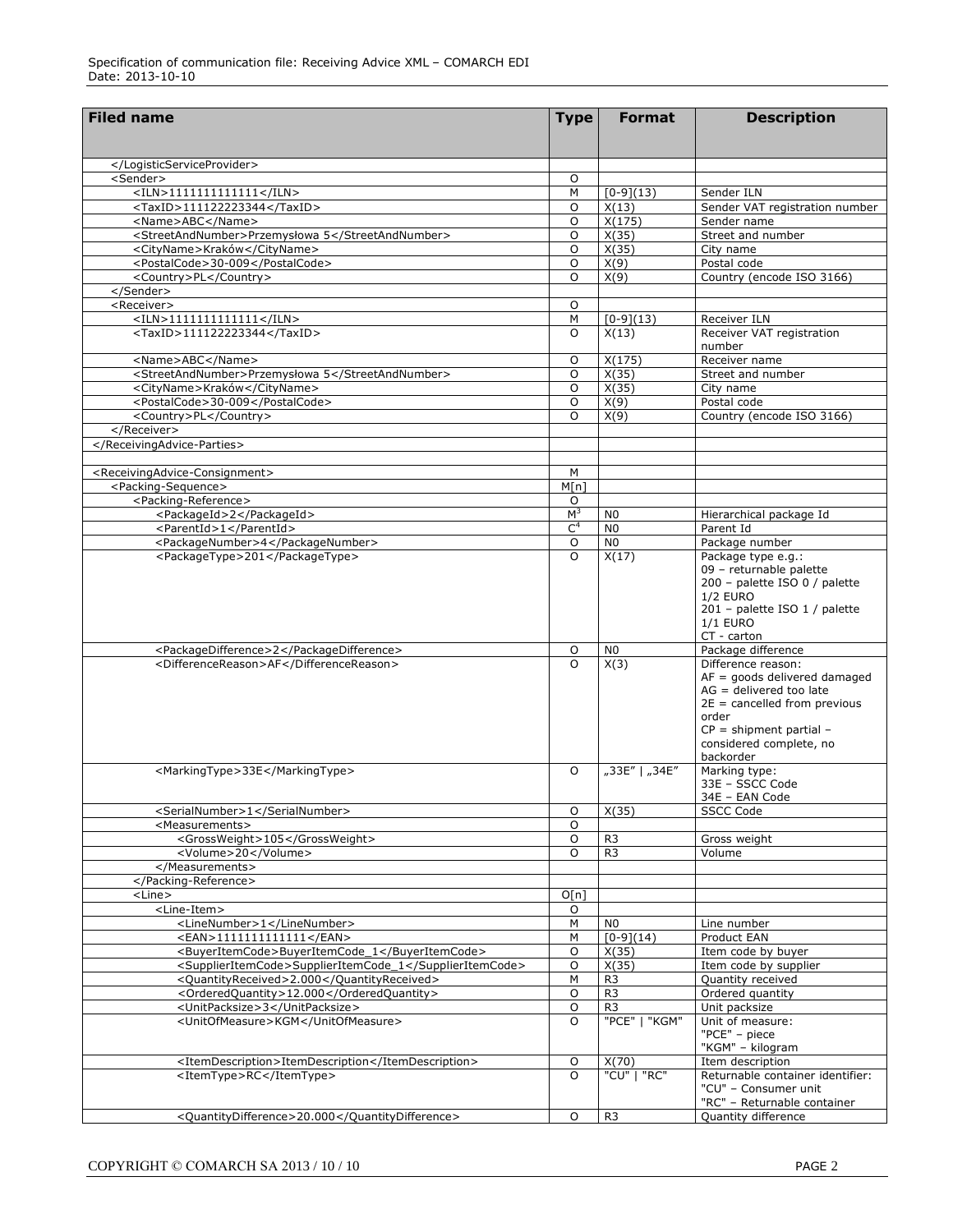| <b>Filed name</b>                                           | <b>Type</b>    | <b>Format</b>        | <b>Description</b>                               |
|-------------------------------------------------------------|----------------|----------------------|--------------------------------------------------|
|                                                             |                |                      |                                                  |
|                                                             |                |                      |                                                  |
|                                                             |                |                      |                                                  |
| <sender></sender>                                           | O              |                      |                                                  |
| $<$ ILN>1111111111111                                       | M              | $[0-9](13)$          | Sender ILN                                       |
| <taxid>111122223344</taxid>                                 | O              | X(13)                | Sender VAT registration number                   |
| <name>ABC</name>                                            | O              | X(175)               | Sender name                                      |
| <streetandnumber>Przemysłowa 5</streetandnumber>            | O              | X(35)                | Street and number                                |
| <cityname>Kraków</cityname>                                 | $\circ$        | X(35)                | City name                                        |
| <postalcode>30-009</postalcode>                             | $\circ$        | X(9)                 | Postal code                                      |
| <country>PL</country>                                       | $\circ$        | X(9)                 | Country (encode ISO 3166)                        |
|                                                             |                |                      |                                                  |
| <receiver></receiver>                                       | O              |                      |                                                  |
| $<$ ILN>1111111111111<br><taxid>111122223344</taxid>        | M<br>$\circ$   | $[0-9](13)$<br>X(13) | Receiver ILN<br>Receiver VAT registration        |
|                                                             |                |                      | number                                           |
| <name>ABC</name>                                            | O              | X(175)               | Receiver name                                    |
| <streetandnumber>Przemysłowa 5</streetandnumber>            | O              | X(35)                | Street and number                                |
| <cityname>Kraków</cityname>                                 | O              | X(35)                | City name                                        |
| <postalcode>30-009</postalcode>                             | O              | X(9)                 | Postal code                                      |
| <country>PL</country>                                       | O              | X(9)                 | Country (encode ISO 3166)                        |
|                                                             |                |                      |                                                  |
|                                                             |                |                      |                                                  |
|                                                             |                |                      |                                                  |
| <receivingadvice-consignment></receivingadvice-consignment> | м              |                      |                                                  |
| <packing-sequence></packing-sequence>                       | M[n]           |                      |                                                  |
| <packing-reference></packing-reference>                     | O              |                      |                                                  |
| <packageid>2</packageid>                                    | M <sup>3</sup> | N <sub>0</sub>       | Hierarchical package Id                          |
| <parentid>1</parentid>                                      | C <sup>4</sup> | N <sub>0</sub>       | Parent Id                                        |
| <packagenumber>4</packagenumber>                            | O              | N <sub>0</sub>       | Package number                                   |
| <packagetype>201</packagetype>                              | $\circ$        | X(17)                | Package type e.g.:                               |
|                                                             |                |                      | 09 - returnable palette                          |
|                                                             |                |                      | 200 - palette ISO 0 / palette                    |
|                                                             |                |                      | <b>1/2 EURO</b>                                  |
|                                                             |                |                      | 201 - palette ISO 1 / palette<br><b>1/1 EURO</b> |
|                                                             |                |                      | CT - carton                                      |
| <packagedifference>2</packagedifference>                    | 0              | N <sub>0</sub>       | Package difference                               |
| <differencereason>AF</differencereason>                     | $\circ$        | X(3)                 | Difference reason:                               |
|                                                             |                |                      | $AF = goods$ delivered damaged                   |
|                                                             |                |                      | $AG =$ delivered too late                        |
|                                                             |                |                      | $2E =$ cancelled from previous                   |
|                                                             |                |                      | order                                            |
|                                                             |                |                      | $CP =$ shipment partial -                        |
|                                                             |                |                      | considered complete, no                          |
|                                                             |                |                      | backorder                                        |
| <markingtype>33E</markingtype>                              | $\circ$        | "33E"   "34E"        | Marking type:                                    |
|                                                             |                |                      | 33E - SSCC Code<br>34E - EAN Code                |
| <serialnumber>1</serialnumber>                              | 0              | X(35)                | <b>SSCC Code</b>                                 |
| <measurements></measurements>                               | 0              |                      |                                                  |
| <grossweight>105</grossweight>                              | O              | R <sub>3</sub>       | Gross weight                                     |
| <volume>20</volume>                                         | $\Omega$       | R <sub>3</sub>       | Volume                                           |
|                                                             |                |                      |                                                  |
|                                                             |                |                      |                                                  |
| <line></line>                                               | O[n]           |                      |                                                  |
| <line-item></line-item>                                     | $\circ$        |                      |                                                  |
| <linenumber>1</linenumber>                                  | $\overline{M}$ | N <sub>0</sub>       | Line number                                      |
| <ean>111111111111</ean>                                     | M              | $[0-9](14)$          | Product EAN                                      |
| <buyeritemcode>BuyerItemCode_1</buyeritemcode>              | $\circ$        | X(35)                | Item code by buyer                               |
| <supplieritemcode>SupplierItemCode_1</supplieritemcode>     | $\circ$        | X(35)                | Item code by supplier                            |
| <quantityreceived>2.000</quantityreceived>                  | M              | R <sub>3</sub>       | Quantity received                                |
| <orderedquantity>12.000</orderedquantity>                   | $\circ$        | R <sub>3</sub>       | Ordered quantity                                 |
| <unitpacksize>3</unitpacksize>                              | O              | R <sub>3</sub>       | Unit packsize                                    |
| <unitofmeasure>KGM</unitofmeasure>                          | $\Omega$       | "PCE"   "KGM"        | Unit of measure:                                 |
|                                                             |                |                      | "PCE" - piece                                    |
|                                                             |                |                      | "KGM" - kilogram                                 |
| <itemdescription>ItemDescription</itemdescription>          | O              | X(70)                | Item description                                 |
| <itemtype>RC</itemtype>                                     | O              | "CU"   "RC"          | Returnable container identifier:                 |
|                                                             |                |                      | "CU" - Consumer unit                             |
|                                                             |                |                      | "RC" - Returnable container                      |
| <quantitydifference>20.000</quantitydifference>             | O              | R <sub>3</sub>       | Quantity difference                              |